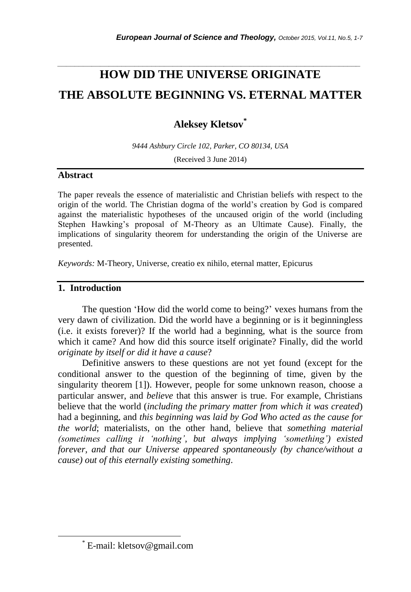# **HOW DID THE UNIVERSE ORIGINATE THE ABSOLUTE BEGINNING VS. ETERNAL MATTER**

*\_\_\_\_\_\_\_\_\_\_\_\_\_\_\_\_\_\_\_\_\_\_\_\_\_\_\_\_\_\_\_\_\_\_\_\_\_\_\_\_\_\_\_\_\_\_\_\_\_\_\_\_\_\_\_\_\_\_\_\_\_\_\_\_\_\_\_\_\_\_\_*

**Aleksey Kletsov\***

*9444 Ashbury Circle 102, Parker, CO 80134, USA* (Received 3 June 2014)

# **Abstract**

The paper reveals the essence of materialistic and Christian beliefs with respect to the origin of the world. The Christian dogma of the world"s creation by God is compared against the materialistic hypotheses of the uncaused origin of the world (including Stephen Hawking"s proposal of M-Theory as an Ultimate Cause). Finally, the implications of singularity theorem for understanding the origin of the Universe are presented.

*Keywords:* M-Theory, Universe, creatio ex nihilo, eternal matter, Epicurus

# **1. Introduction**

The question 'How did the world come to being?' vexes humans from the very dawn of civilization. Did the world have a beginning or is it beginningless (i.e. it exists forever)? If the world had a beginning, what is the source from which it came? And how did this source itself originate? Finally, did the world *originate by itself or did it have a cause*?

Definitive answers to these questions are not yet found (except for the conditional answer to the question of the beginning of time, given by the singularity theorem [1]). However, people for some unknown reason, choose a particular answer, and *believe* that this answer is true. For example, Christians believe that the world (*including the primary matter from which it was created*) had a beginning, and *this beginning was laid by God Who acted as the cause for the world*; materialists, on the other hand, believe that *something material (sometimes calling it 'nothing', but always implying 'something') existed forever, and that our Universe appeared spontaneously (by chance/without a cause) out of this eternally existing something*.

l

<sup>\*</sup> E-mail: kletsov@gmail.com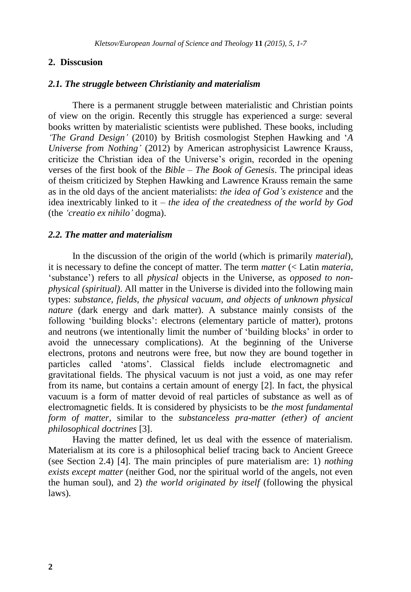## **2. Disscusion**

#### *2.1. The struggle between Christianity and materialism*

There is a permanent struggle between materialistic and Christian points of view on the origin. Recently this struggle has experienced a surge: several books written by materialistic scientists were published. These books, including *'The Grand Design'* (2010) by British cosmologist Stephen Hawking and "*A Universe from Nothing'* (2012) by American astrophysicist Lawrence Krauss, criticize the Christian idea of the Universe"s origin, recorded in the opening verses of the first book of the *Bible* – *The Book of Genesis*. The principal ideas of theism criticized by Stephen Hawking and Lawrence Krauss remain the same as in the old days of the ancient materialists: *the idea of God's existence* and the idea inextricably linked to it – *the idea of the createdness of the world by God* (the *'creatio ex nihilo'* dogma).

#### *2.2. The matter and materialism*

In the discussion of the origin of the world (which is primarily *material*), it is necessary to define the concept of matter. The term *matter* (< Latin *materia*, "substance") refers to all *physical* objects in the Universe, as *opposed to nonphysical (spiritual)*. All matter in the Universe is divided into the following main types: *substance, fields, the physical vacuum, and objects of unknown physical nature* (dark energy and dark matter). A substance mainly consists of the following "building blocks": electrons (elementary particle of matter), protons and neutrons (we intentionally limit the number of "building blocks" in order to avoid the unnecessary complications). At the beginning of the Universe electrons, protons and neutrons were free, but now they are bound together in particles called "atoms". Classical fields include electromagnetic and gravitational fields. The physical vacuum is not just a void, as one may refer from its name, but contains a certain amount of energy [2]. In fact, the physical vacuum is a form of matter devoid of real particles of substance as well as of electromagnetic fields. It is considered by physicists to be *the most fundamental form of matter*, similar to the *substanceless pra-matter (ether) of ancient philosophical doctrines* [3].

Having the matter defined, let us deal with the essence of materialism. Materialism at its core is a philosophical belief tracing back to Ancient Greece (see Section 2.4) [4]. The main principles of pure materialism are: 1) *nothing exists except matter* (neither God, nor the spiritual world of the angels, not even the human soul), and 2) *the world originated by itself* (following the physical laws).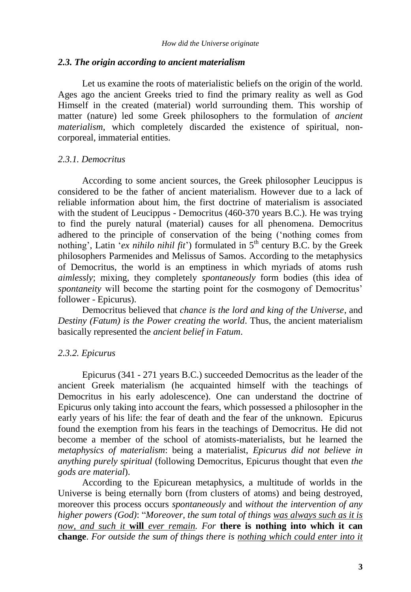#### *2.3. The origin according to ancient materialism*

Let us examine the roots of materialistic beliefs on the origin of the world. Ages ago the ancient Greeks tried to find the primary reality as well as God Himself in the created (material) world surrounding them. This worship of matter (nature) led some Greek philosophers to the formulation of *ancient materialism*, which completely discarded the existence of spiritual, noncorporeal, immaterial entities.

## *2.3.1. Democritus*

According to some ancient sources, the Greek philosopher Leucippus is considered to be the father of ancient materialism. However due to a lack of reliable information about him, the first doctrine of materialism is associated with the student of Leucippus - Democritus (460-370 years B.C.). He was trying to find the purely natural (material) causes for all phenomena. Democritus adhered to the principle of conservation of the being ("nothing comes from nothing', Latin  $\overline{\phantom{a}} e$ *x nihilo nihil fit*') formulated in  $5<sup>th</sup>$  century B.C. by the Greek philosophers Parmenides and Melissus of Samos. According to the metaphysics of Democritus, the world is an emptiness in which myriads of atoms rush *aimlessly*; mixing, they completely *spontaneously* form bodies (this idea of *spontaneity* will become the starting point for the cosmogony of Democritus' follower - Epicurus).

Democritus believed that *chance is the lord and king of the Universe*, and *Destiny (Fatum) is the Power creating the world*. Thus, the ancient materialism basically represented the *ancient belief in Fatum*.

# *2.3.2. Epicurus*

Epicurus (341 - 271 years B.C.) succeeded Democritus as the leader of the ancient Greek materialism (he acquainted himself with the teachings of Democritus in his early adolescence). One can understand the doctrine of Epicurus only taking into account the fears, which possessed a philosopher in the early years of his life: the fear of death and the fear of the unknown. Epicurus found the exemption from his fears in the teachings of Democritus. He did not become a member of the school of atomists-materialists, but he learned the *metaphysics of materialism*: being a materialist, *Epicurus did not believe in anything purely spiritual* (following Democritus, Epicurus thought that even *the gods are material*).

According to the Epicurean metaphysics, a multitude of worlds in the Universe is being eternally born (from clusters of atoms) and being destroyed, moreover this process occurs *spontaneously* and *without the intervention of any higher powers (God)*: "*Moreover, the sum total of things was always such as it is now, and such it* **will** *ever remain. For* **there is nothing into which it can change**. *For outside the sum of things there is nothing which could enter into it*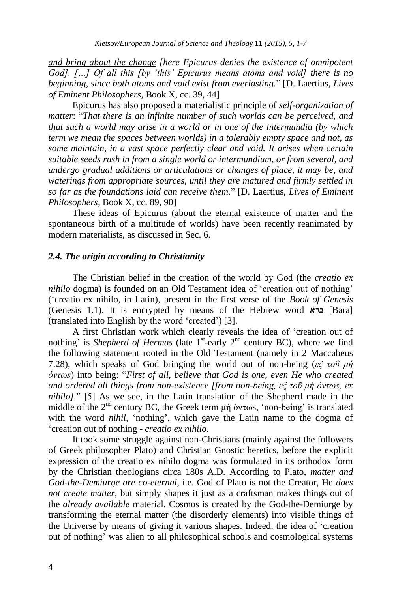*and bring about the change [here Epicurus denies the existence of omnipotent God]. […] Of all this [by 'this' Epicurus means atoms and void] there is no beginning, since both atoms and void exist from everlasting.*" [D. Laertius, *Lives of Eminent Philosophers,* Book X, cc. 39, 44]

Epicurus has also proposed a materialistic principle of *self-organization of matter*: "*That there is an infinite number of such worlds can be perceived, and that such a world may arise in a world or in one of the intermundia (by which term we mean the spaces between worlds) in a tolerably empty space and not, as some maintain, in a vast space perfectly clear and void. It arises when certain suitable seeds rush in from a single world or intermundium, or from several, and undergo gradual additions or articulations or changes of place, it may be, and waterings from appropriate sources, until they are matured and firmly settled in so far as the foundations laid can receive them.*" [D. Laertius, *Lives of Eminent Philosophers,* Book X, cc. 89, 90]

These ideas of Epicurus (about the eternal existence of matter and the spontaneous birth of a multitude of worlds) have been recently reanimated by modern materialists, as discussed in Sec. 6.

#### *2.4. The origin according to Christianity*

The Christian belief in the creation of the world by God (the *creatio ex nihilo* dogma) is founded on an Old Testament idea of 'creation out of nothing' ("creatio ex nihilo, in Latin), present in the first verse of the *Book of Genesis* (Genesis 1.1). It is encrypted by means of the Hebrew word *ברא*] Bara] (translated into English by the word "created") [3].

A first Christian work which clearly reveals the idea of "creation out of nothing' is *Shepherd of Hermas* (late  $1^{st}$ -early  $2^{nd}$  century BC), where we find the following statement rooted in the Old Testament (namely in 2 Maccabeus 7.28), which speaks of God bringing the world out of non-being (*εξ τοΰ μή όντωs*) into being: "*First of all, believe that God is one, even He who created and ordered all things from non-existence [from non-being, εξ τοΰ μή όντωs, ex nihilo].*" [5] As we see, in the Latin translation of the Shepherd made in the middle of the 2nd century BC, the Greek term μή όντωs, "non-being" is translated with the word *nihil*, 'nothing', which gave the Latin name to the dogma of "creation out of nothing - *creatio ex nihilo*.

It took some struggle against non-Christians (mainly against the followers of Greek philosopher Plato) and Christian Gnostic heretics, before the explicit expression of the creatio ex nihilo dogma was formulated in its orthodox form by the Christian theologians circa 180s A.D. According to Plato, *matter and God-the-Demiurge are co-eternal*, i.e. God of Plato is not the Creator, He *does not create matter*, but simply shapes it just as a craftsman makes things out of the *already available* material. Cosmos is created by the God-the-Demiurge by transforming the eternal matter (the disorderly elements) into visible things of the Universe by means of giving it various shapes*.* Indeed, the idea of "creation out of nothing" was alien to all philosophical schools and cosmological systems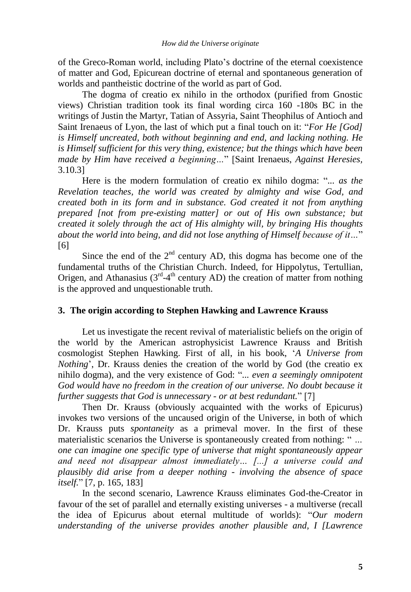of the Greco-Roman world, including Plato"s doctrine of the eternal coexistence of matter and God, Epicurean doctrine of eternal and spontaneous generation of worlds and pantheistic doctrine of the world as part of God.

The dogma of creatio ex nihilo in the orthodox (purified from Gnostic views) Christian tradition took its final wording circa 160 -180s BC in the writings of Justin the Martyr, Tatian of Assyria, Saint Theophilus of Antioch and Saint Irenaeus of Lyon, the last of which put a final touch on it: "*For He [God] is Himself uncreated, both without beginning and end, and lacking nothing. He is Himself sufficient for this very thing, existence; but the things which have been made by Him have received a beginning…*" [Saint Irenaeus, *Against Heresies,* 3.10.3]

Here is the modern formulation of creatio ex nihilo dogma: "*... as the Revelation teaches, the world was created by almighty and wise God, and created both in its form and in substance. God created it not from anything prepared [not from pre-existing matter] or out of His own substance; but created it solely through the act of His almighty will, by bringing His thoughts about the world into being, and did not lose anything of Himself because of it…*" [6]

Since the end of the  $2<sup>nd</sup>$  century AD, this dogma has become one of the fundamental truths of the Christian Church. Indeed, for Hippolytus, Tertullian, Origen, and Athanasius ( $3<sup>rd</sup>-4<sup>th</sup>$  century AD) the creation of matter from nothing is the approved and unquestionable truth.

## **3. The origin according to Stephen Hawking and Lawrence Krauss**

Let us investigate the recent revival of materialistic beliefs on the origin of the world by the American astrophysicist Lawrence Krauss and British cosmologist Stephen Hawking. First of all, in his book, "*A Universe from Nothing*", Dr. Krauss denies the creation of the world by God (the creatio ex nihilo dogma), and the very existence of God: "*... even a seemingly omnipotent God would have no freedom in the creation of our universe. No doubt because it further suggests that God is unnecessary - or at best redundant.*" [7]

Then Dr. Krauss (obviously acquainted with the works of Epicurus) invokes two versions of the uncaused origin of the Universe, in both of which Dr. Krauss puts *spontaneity* as a primeval mover. In the first of these materialistic scenarios the Universe is spontaneously created from nothing: " *… one can imagine one specific type of universe that might spontaneously appear and need not disappear almost immediately… [...] a universe could and plausibly did arise from a deeper nothing - involving the absence of space itself.*" [7, p. 165, 183]

In the second scenario, Lawrence Krauss eliminates God-the-Creator in favour of the set of parallel and eternally existing universes - a multiverse (recall the idea of Epicurus about eternal multitude of worlds): "*Our modern understanding of the universe provides another plausible and, I [Lawrence*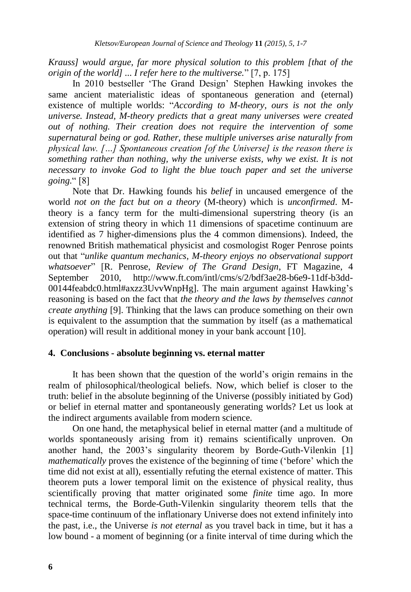*Krauss] would argue, far more physical solution to this problem [that of the origin of the world] ... I refer here to the multiverse.*" [7, p. 175]

In 2010 bestseller "The Grand Design" Stephen Hawking invokes the same ancient materialistic ideas of spontaneous generation and (eternal) existence of multiple worlds: "*According to M-theory, ours is not the only universe. Instead, M-theory predicts that a great many universes were created out of nothing. Their creation does not require the intervention of some supernatural being or god. Rather, these multiple universes arise naturally from physical law. […] Spontaneous creation [of the Universe] is the reason there is something rather than nothing, why the universe exists, why we exist. It is not necessary to invoke God to light the blue touch paper and set the universe going.*" [8]

Note that Dr. Hawking founds his *belief* in uncaused emergence of the world *not on the fact but on a theory* (M-theory) which is *unconfirmed*. Mtheory is a fancy term for the multi-dimensional superstring theory (is an extension of string theory in which 11 dimensions of spacetime continuum are identified as 7 higher-dimensions plus the 4 common dimensions). Indeed, the renowned British mathematical physicist and cosmologist Roger Penrose points out that "*unlike quantum mechanics, M-theory enjoys no observational support whatsoever*" [R. Penrose, *Review of The Grand Design*, FT Magazine, 4 September 2010, http://www.ft.com/intl/cms/s/2/bdf3ae28-b6e9-11df-b3dd-00144feabdc0.html#axzz3UvvWnpHg]. The main argument against Hawking"s reasoning is based on the fact that *the theory and the laws by themselves cannot create anything* [9]. Thinking that the laws can produce something on their own is equivalent to the assumption that the summation by itself (as a mathematical operation) will result in additional money in your bank account [10].

#### **4. Conclusions - absolute beginning vs. eternal matter**

It has been shown that the question of the world"s origin remains in the realm of philosophical/theological beliefs. Now, which belief is closer to the truth: belief in the absolute beginning of the Universe (possibly initiated by God) or belief in eternal matter and spontaneously generating worlds? Let us look at the indirect arguments available from modern science.

On one hand, the metaphysical belief in eternal matter (and a multitude of worlds spontaneously arising from it) remains scientifically unproven. On another hand, the 2003's singularity theorem by Borde-Guth-Vilenkin [1] *mathematically* proves the existence of the beginning of time ('before' which the time did not exist at all), essentially refuting the eternal existence of matter. This theorem puts a lower temporal limit on the existence of physical reality, thus scientifically proving that matter originated some *finite* time ago. In more technical terms, the Borde-Guth-Vilenkin singularity theorem tells that the space-time continuum of the inflationary Universe does not extend infinitely into the past, i.e., the Universe *is not eternal* as you travel back in time, but it has a low bound - a moment of beginning (or a finite interval of time during which the